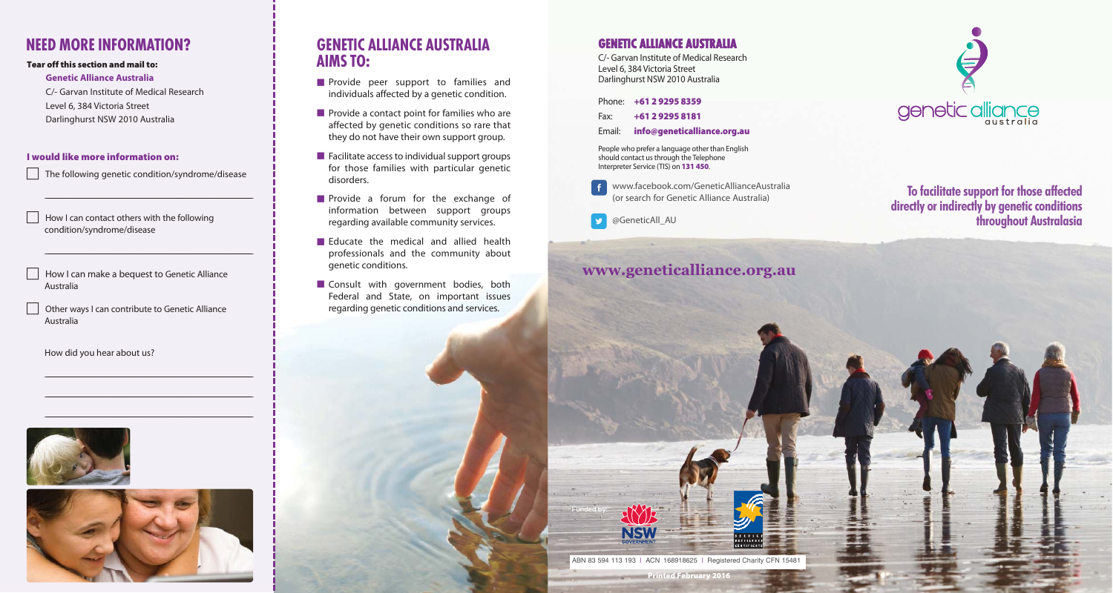# **NEED MORE INFORMATION?**

### **Tear off this section and mail to:**

#### **Genetic Alliance Australia**

C/- Garvan Institute of Medical Research Level 6, 384 Victoria Street Darlinghurst NSW 2010 Australia

### **I would like more information on:**

The following genetic condition/syndrome/disease

\_\_\_\_\_\_\_\_\_\_\_\_\_\_\_\_\_\_\_\_\_\_\_\_\_\_\_\_\_\_\_\_\_\_\_\_\_\_\_\_\_\_\_\_\_\_\_\_\_\_\_\_\_\_\_\_\_\_\_\_\_\_\_\_\_\_\_\_\_\_\_\_\_\_\_\_\_\_\_\_\_\_\_\_\_\_\_\_\_\_\_\_\_\_\_\_\_\_\_\_\_\_\_\_\_\_\_\_\_\_\_\_\_\_\_\_\_\_\_\_\_\_\_\_\_\_\_\_\_\_\_\_\_\_\_\_\_\_\_\_\_\_\_\_\_\_\_\_\_\_\_\_\_\_\_\_

\_\_\_\_\_\_\_\_\_\_\_\_\_\_\_\_\_\_\_\_\_\_\_\_\_\_\_\_\_\_\_\_\_\_\_\_\_\_\_\_\_\_\_\_\_\_\_\_\_\_\_\_\_\_\_\_\_\_\_\_\_\_\_\_\_\_\_\_\_\_\_\_\_\_\_\_\_\_\_\_\_\_\_\_\_\_\_\_\_\_\_\_\_\_\_\_\_\_\_\_\_\_\_\_\_\_\_\_\_\_\_\_\_\_\_\_\_\_\_\_\_\_\_\_\_\_\_\_\_\_\_\_\_\_\_\_\_\_\_\_\_\_\_\_\_\_\_\_\_\_\_\_\_\_\_\_

\_\_\_\_\_\_\_\_\_\_\_\_\_\_\_\_\_\_\_\_\_\_\_\_\_\_\_\_\_\_\_\_\_\_\_\_\_\_\_\_\_\_\_\_\_\_\_\_\_\_\_\_\_\_\_\_\_\_\_\_\_\_\_\_\_\_\_\_\_\_\_\_\_\_\_\_\_\_\_\_\_\_\_\_\_\_\_\_\_\_\_\_\_\_\_\_\_\_\_\_\_\_\_\_\_\_\_\_\_\_\_\_\_\_\_\_\_\_\_\_\_\_\_\_\_\_\_\_\_\_\_\_\_\_\_\_\_\_\_\_\_\_\_\_\_\_\_\_\_\_\_\_\_\_\_\_

\_\_\_\_\_\_\_\_\_\_\_\_\_\_\_\_\_\_\_\_\_\_\_\_\_\_\_\_\_\_\_\_\_\_\_\_\_\_\_\_\_\_\_\_\_\_\_\_\_\_\_\_\_\_\_\_\_\_\_\_\_\_\_\_\_\_\_\_\_\_\_\_\_\_\_\_\_\_\_\_\_\_\_\_\_\_\_\_\_\_\_\_\_\_\_\_\_\_\_\_\_\_\_\_\_\_\_\_\_\_\_\_\_\_\_\_\_\_\_\_\_\_\_\_\_\_\_\_\_\_\_\_\_\_\_\_\_\_\_\_\_\_\_\_\_\_\_\_\_\_\_\_\_\_\_\_

\_\_\_\_\_\_\_\_\_\_\_\_\_\_\_\_\_\_\_\_\_\_\_\_\_\_\_\_\_\_\_\_\_\_\_\_\_\_\_\_\_\_\_\_\_\_\_\_\_\_\_\_\_\_\_\_\_\_\_\_\_\_\_\_\_\_\_\_\_\_\_\_\_\_\_\_\_\_\_\_\_\_\_\_\_\_\_\_\_\_\_\_\_\_\_\_\_\_\_\_\_\_\_\_\_\_\_\_\_\_\_\_\_\_\_\_\_\_\_\_\_\_\_\_\_\_\_\_\_\_\_\_\_\_\_\_\_\_\_\_\_\_\_\_\_\_\_\_\_\_\_\_\_\_\_\_

 How I can contact others with the following condition/syndrome/disease

 How I can make a bequest to Genetic Alliance Australia

 Other ways I can contribute to Genetic Alliance Australia

How did you hear about us?





# **GENETIC ALLIANCE AUSTRALIA AIMS TO:**

- **Provide peer support to families and** individuals affected by a genetic condition.
- **Provide a contact point for families who are** affected by genetic conditions so rare that they do not have their own support group.
- **E** Facilitate access to individual support groups for those families with particular genetic disorders.
- **Provide a forum for the exchange of** information between support groups regarding available community services.
- Educate the medical and allied health professionals and the community about genetic conditions.
- **Consult with government bodies, both** Federal and State, on important issues regarding genetic conditions and services.

### **GENETIC ALLIANCE AUSTRALIA**

C/- Garvan Institute of Medical Research Level 6, 384 Victoria Street Darlinghurst NSW 2010 Australia

Phone: **+61 2 9295 8359**

Fax: **+61 2 9295 8181** 

Email: **info@geneticalliance.org.au**

People who prefer a language other than English should contact us through the Telephone Interpreter Service (TIS) on **131 450**.

www.facebook.com/GeneticAllianceAustralia (or search for Genetic Alliance Australia)

**D** @GeneticAll\_AU



## **To facilitate support for those affected directly or indirectly by genetic conditions throughout Australasia**